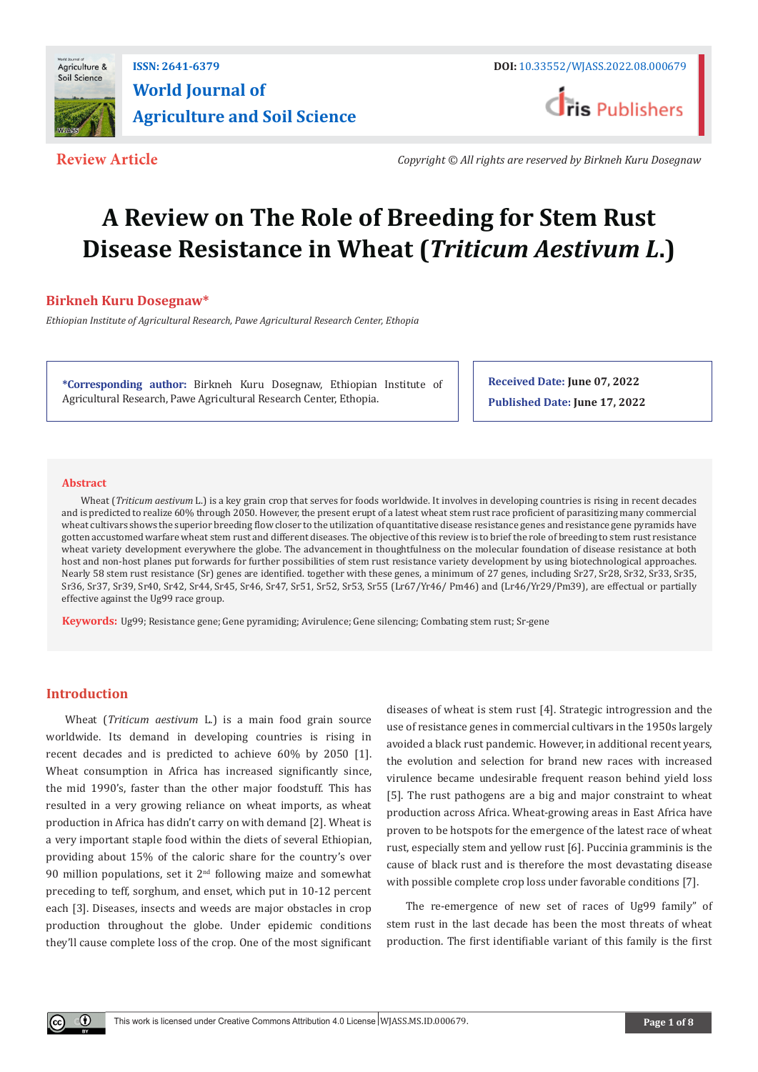

# **ISSN: 2641-6379 DOI:** [10.33552/WJASS.2022.08.000679](http://dx.doi.org/10.33552/WJASS.2022.08.000679) **World Journal of Agriculture and Soil Science**



**Review Article** *Copyright © All rights are reserved by Birkneh Kuru Dosegnaw*

# **A Review on The Role of Breeding for Stem Rust Disease Resistance in Wheat (***Triticum Aestivum L***.)**

# **Birkneh Kuru Dosegnaw\***

*Ethiopian Institute of Agricultural Research, Pawe Agricultural Research Center, Ethopia*

**\*Corresponding author:** Birkneh Kuru Dosegnaw, Ethiopian Institute of Agricultural Research, Pawe Agricultural Research Center, Ethopia.

**Received Date: June 07, 2022 Published Date: June 17, 2022**

### **Abstract**

Wheat (*Triticum aestivum* L.) is a key grain crop that serves for foods worldwide. It involves in developing countries is rising in recent decades and is predicted to realize 60% through 2050. However, the present erupt of a latest wheat stem rust race proficient of parasitizing many commercial wheat cultivars shows the superior breeding flow closer to the utilization of quantitative disease resistance genes and resistance gene pyramids have gotten accustomed warfare wheat stem rust and different diseases. The objective of this review is to brief the role of breeding to stem rust resistance wheat variety development everywhere the globe. The advancement in thoughtfulness on the molecular foundation of disease resistance at both host and non-host planes put forwards for further possibilities of stem rust resistance variety development by using biotechnological approaches. Nearly 58 stem rust resistance (Sr) genes are identified. together with these genes, a minimum of 27 genes, including Sr27, Sr28, Sr32, Sr33, Sr35, Sr36, Sr37, Sr39, Sr40, Sr42, Sr44, Sr45, Sr46, Sr47, Sr51, Sr52, Sr53, Sr55 (Lr67/Yr46/ Pm46) and (Lr46/Yr29/Pm39), are effectual or partially effective against the Ug99 race group.

**Keywords:** Ug99; Resistance gene; Gene pyramiding; Avirulence; Gene silencing; Combating stem rust; Sr-gene

# **Introduction**

 $^\copyright$ 

Wheat (*Triticum aestivum* L.) is a main food grain source worldwide. Its demand in developing countries is rising in recent decades and is predicted to achieve 60% by 2050 [1]. Wheat consumption in Africa has increased significantly since, the mid 1990's, faster than the other major foodstuff. This has resulted in a very growing reliance on wheat imports, as wheat production in Africa has didn't carry on with demand [2]. Wheat is a very important staple food within the diets of several Ethiopian, providing about 15% of the caloric share for the country's over 90 million populations, set it  $2<sup>nd</sup>$  following maize and somewhat preceding to teff, sorghum, and enset, which put in 10-12 percent each [3]. Diseases, insects and weeds are major obstacles in crop production throughout the globe. Under epidemic conditions they'll cause complete loss of the crop. One of the most significant

diseases of wheat is stem rust [4]. Strategic introgression and the use of resistance genes in commercial cultivars in the 1950s largely avoided a black rust pandemic. However, in additional recent years, the evolution and selection for brand new races with increased virulence became undesirable frequent reason behind yield loss [5]. The rust pathogens are a big and major constraint to wheat production across Africa. Wheat-growing areas in East Africa have proven to be hotspots for the emergence of the latest race of wheat rust, especially stem and yellow rust [6]. Puccinia gramminis is the cause of black rust and is therefore the most devastating disease with possible complete crop loss under favorable conditions [7].

The re-emergence of new set of races of Ug99 family" of stem rust in the last decade has been the most threats of wheat production. The first identifiable variant of this family is the first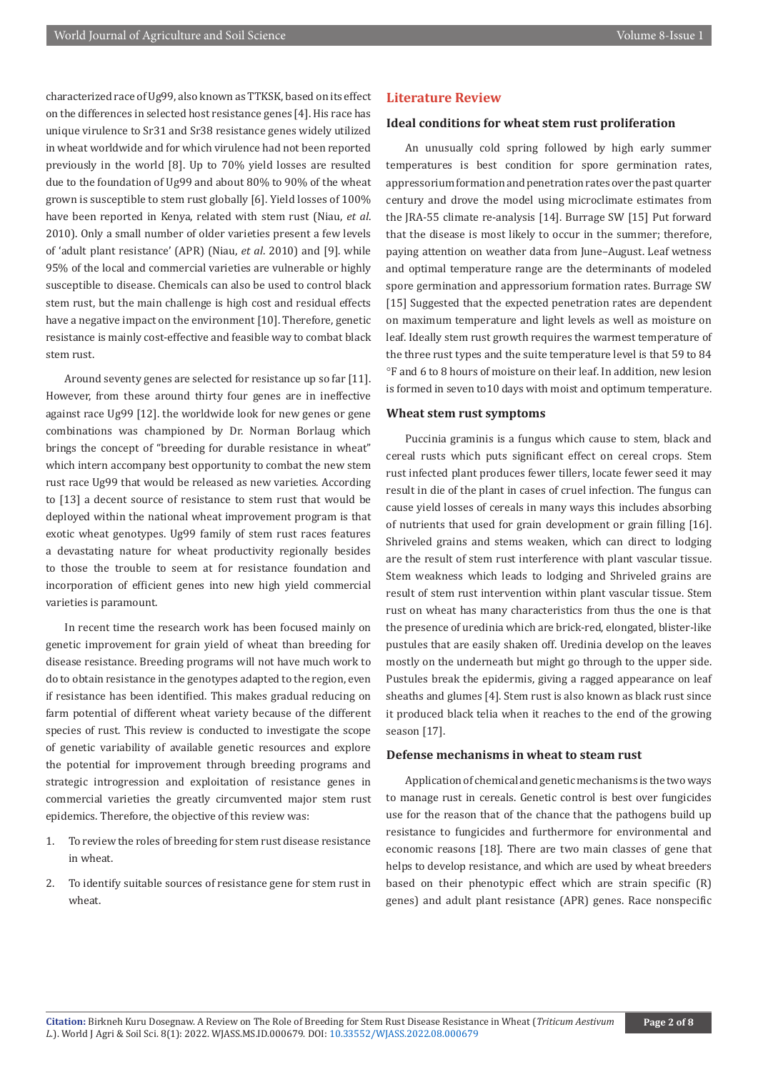characterized race of Ug99, also known as TTKSK, based on its effect on the differences in selected host resistance genes [4]. His race has unique virulence to Sr31 and Sr38 resistance genes widely utilized in wheat worldwide and for which virulence had not been reported previously in the world [8]. Up to 70% yield losses are resulted due to the foundation of Ug99 and about 80% to 90% of the wheat grown is susceptible to stem rust globally [6]. Yield losses of 100% have been reported in Kenya, related with stem rust (Niau, *et al*. 2010). Only a small number of older varieties present a few levels of 'adult plant resistance' (APR) (Niau, *et al*. 2010) and [9]. while 95% of the local and commercial varieties are vulnerable or highly susceptible to disease. Chemicals can also be used to control black stem rust, but the main challenge is high cost and residual effects have a negative impact on the environment [10]. Therefore, genetic resistance is mainly cost-effective and feasible way to combat black stem rust.

Around seventy genes are selected for resistance up so far [11]. However, from these around thirty four genes are in ineffective against race Ug99 [12]. the worldwide look for new genes or gene combinations was championed by Dr. Norman Borlaug which brings the concept of "breeding for durable resistance in wheat" which intern accompany best opportunity to combat the new stem rust race Ug99 that would be released as new varieties. According to [13] a decent source of resistance to stem rust that would be deployed within the national wheat improvement program is that exotic wheat genotypes. Ug99 family of stem rust races features a devastating nature for wheat productivity regionally besides to those the trouble to seem at for resistance foundation and incorporation of efficient genes into new high yield commercial varieties is paramount.

In recent time the research work has been focused mainly on genetic improvement for grain yield of wheat than breeding for disease resistance. Breeding programs will not have much work to do to obtain resistance in the genotypes adapted to the region, even if resistance has been identified. This makes gradual reducing on farm potential of different wheat variety because of the different species of rust. This review is conducted to investigate the scope of genetic variability of available genetic resources and explore the potential for improvement through breeding programs and strategic introgression and exploitation of resistance genes in commercial varieties the greatly circumvented major stem rust epidemics. Therefore, the objective of this review was:

- 1. To review the roles of breeding for stem rust disease resistance in wheat.
- 2. To identify suitable sources of resistance gene for stem rust in wheat.

### **Literature Review**

# **Ideal conditions for wheat stem rust proliferation**

An unusually cold spring followed by high early summer temperatures is best condition for spore germination rates, appressorium formation and penetration rates over the past quarter century and drove the model using microclimate estimates from the JRA-55 climate re-analysis [14]. Burrage SW [15] Put forward that the disease is most likely to occur in the summer; therefore, paying attention on weather data from June–August. Leaf wetness and optimal temperature range are the determinants of modeled spore germination and appressorium formation rates. Burrage SW [15] Suggested that the expected penetration rates are dependent on maximum temperature and light levels as well as moisture on leaf. Ideally stem rust growth requires the warmest temperature of the three rust types and the suite temperature level is that 59 to 84 °F and 6 to 8 hours of moisture on their leaf. In addition, new lesion is formed in seven to10 days with moist and optimum temperature.

# **Wheat stem rust symptoms**

Puccinia graminis is a fungus which cause to stem, black and cereal rusts which puts significant effect on cereal crops. Stem rust infected plant produces fewer tillers, locate fewer seed it may result in die of the plant in cases of cruel infection. The fungus can cause yield losses of cereals in many ways this includes absorbing of nutrients that used for grain development or grain filling [16]. Shriveled grains and stems weaken, which can direct to lodging are the result of stem rust interference with plant vascular tissue. Stem weakness which leads to lodging and Shriveled grains are result of stem rust intervention within plant vascular tissue. Stem rust on wheat has many characteristics from thus the one is that the presence of uredinia which are brick-red, elongated, blister-like pustules that are easily shaken off. Uredinia develop on the leaves mostly on the underneath but might go through to the upper side. Pustules break the epidermis, giving a ragged appearance on leaf sheaths and glumes [4]. Stem rust is also known as black rust since it produced black telia when it reaches to the end of the growing season [17].

# **Defense mechanisms in wheat to steam rust**

Application of chemical and genetic mechanisms is the two ways to manage rust in cereals. Genetic control is best over fungicides use for the reason that of the chance that the pathogens build up resistance to fungicides and furthermore for environmental and economic reasons [18]. There are two main classes of gene that helps to develop resistance, and which are used by wheat breeders based on their phenotypic effect which are strain specific (R) genes) and adult plant resistance (APR) genes. Race nonspecific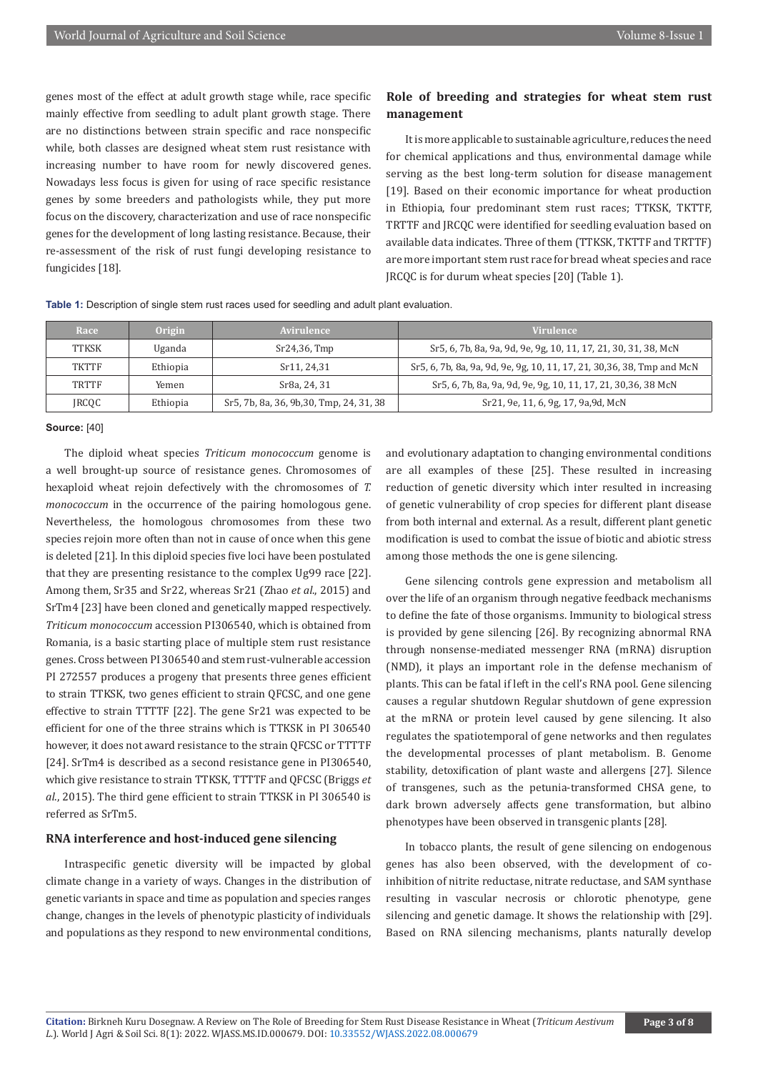genes most of the effect at adult growth stage while, race specific mainly effective from seedling to adult plant growth stage. There are no distinctions between strain specific and race nonspecific while, both classes are designed wheat stem rust resistance with increasing number to have room for newly discovered genes. Nowadays less focus is given for using of race specific resistance genes by some breeders and pathologists while, they put more focus on the discovery, characterization and use of race nonspecific genes for the development of long lasting resistance. Because, their re-assessment of the risk of rust fungi developing resistance to fungicides [18].

# **Role of breeding and strategies for wheat stem rust management**

It is more applicable to sustainable agriculture, reduces the need for chemical applications and thus, environmental damage while serving as the best long-term solution for disease management [19]. Based on their economic importance for wheat production in Ethiopia, four predominant stem rust races; TTKSK, TKTTF, TRTTF and JRCQC were identified for seedling evaluation based on available data indicates. Three of them (TTKSK, TKTTF and TRTTF) are more important stem rust race for bread wheat species and race JRCQC is for durum wheat species [20] (Table 1).

**Table 1:** Description of single stem rust races used for seedling and adult plant evaluation.

| Race  | Origin   | Avirulence                               | <b>Virulence</b>                                                         |
|-------|----------|------------------------------------------|--------------------------------------------------------------------------|
| TTKSK | Uganda   | Sr24,36, Tmp                             | Sr5, 6, 7b, 8a, 9a, 9d, 9e, 9g, 10, 11, 17, 21, 30, 31, 38, McN          |
| TKTTF | Ethiopia | Sr11, 24.31                              | Sr 5, 6, 7b, 8a, 9a, 9d, 9e, 9g, 10, 11, 17, 21, 30, 36, 38, Tmp and McN |
| TRTTF | Yemen    | Sr8a, 24, 31                             | Sr 5, 6, 7b, 8a, 9a, 9d, 9e, 9g, 10, 11, 17, 21, 30, 36, 38 McN          |
| JRCQC | Ethiopia | Sr5, 7b, 8a, 36, 9b, 30, Tmp, 24, 31, 38 | Sr21, 9e, 11, 6, 9g, 17, 9a, 9d, McN                                     |

#### **Source:** [40]

The diploid wheat species *Triticum monococcum* genome is a well brought-up source of resistance genes. Chromosomes of hexaploid wheat rejoin defectively with the chromosomes of *T. monococcum* in the occurrence of the pairing homologous gene. Nevertheless, the homologous chromosomes from these two species rejoin more often than not in cause of once when this gene is deleted [21]. In this diploid species five loci have been postulated that they are presenting resistance to the complex Ug99 race [22]. Among them, Sr35 and Sr22, whereas Sr21 (Zhao *et al*., 2015) and SrTm4 [23] have been cloned and genetically mapped respectively. *Triticum monococcum* accession PI306540, which is obtained from Romania, is a basic starting place of multiple stem rust resistance genes. Cross between PI 306540 and stem rust-vulnerable accession PI 272557 produces a progeny that presents three genes efficient to strain TTKSK, two genes efficient to strain QFCSC, and one gene effective to strain TTTTF [22]. The gene Sr21 was expected to be efficient for one of the three strains which is TTKSK in PI 306540 however, it does not award resistance to the strain QFCSC or TTTTF [24]. SrTm4 is described as a second resistance gene in PI306540, which give resistance to strain TTKSK, TTTTF and QFCSC (Briggs *et al*., 2015). The third gene efficient to strain TTKSK in PI 306540 is referred as SrTm5.

#### **RNA interference and host-induced gene silencing**

Intraspecific genetic diversity will be impacted by global climate change in a variety of ways. Changes in the distribution of genetic variants in space and time as population and species ranges change, changes in the levels of phenotypic plasticity of individuals and populations as they respond to new environmental conditions,

and evolutionary adaptation to changing environmental conditions are all examples of these [25]. These resulted in increasing reduction of genetic diversity which inter resulted in increasing of genetic vulnerability of crop species for different plant disease from both internal and external. As a result, different plant genetic modification is used to combat the issue of biotic and abiotic stress among those methods the one is gene silencing.

Gene silencing controls gene expression and metabolism all over the life of an organism through negative feedback mechanisms to define the fate of those organisms. Immunity to biological stress is provided by gene silencing [26]. By recognizing abnormal RNA through nonsense-mediated messenger RNA (mRNA) disruption (NMD), it plays an important role in the defense mechanism of plants. This can be fatal if left in the cell's RNA pool. Gene silencing causes a regular shutdown Regular shutdown of gene expression at the mRNA or protein level caused by gene silencing. It also regulates the spatiotemporal of gene networks and then regulates the developmental processes of plant metabolism. B. Genome stability, detoxification of plant waste and allergens [27]. Silence of transgenes, such as the petunia-transformed CHSA gene, to dark brown adversely affects gene transformation, but albino phenotypes have been observed in transgenic plants [28].

In tobacco plants, the result of gene silencing on endogenous genes has also been observed, with the development of coinhibition of nitrite reductase, nitrate reductase, and SAM synthase resulting in vascular necrosis or chlorotic phenotype, gene silencing and genetic damage. It shows the relationship with [29]. Based on RNA silencing mechanisms, plants naturally develop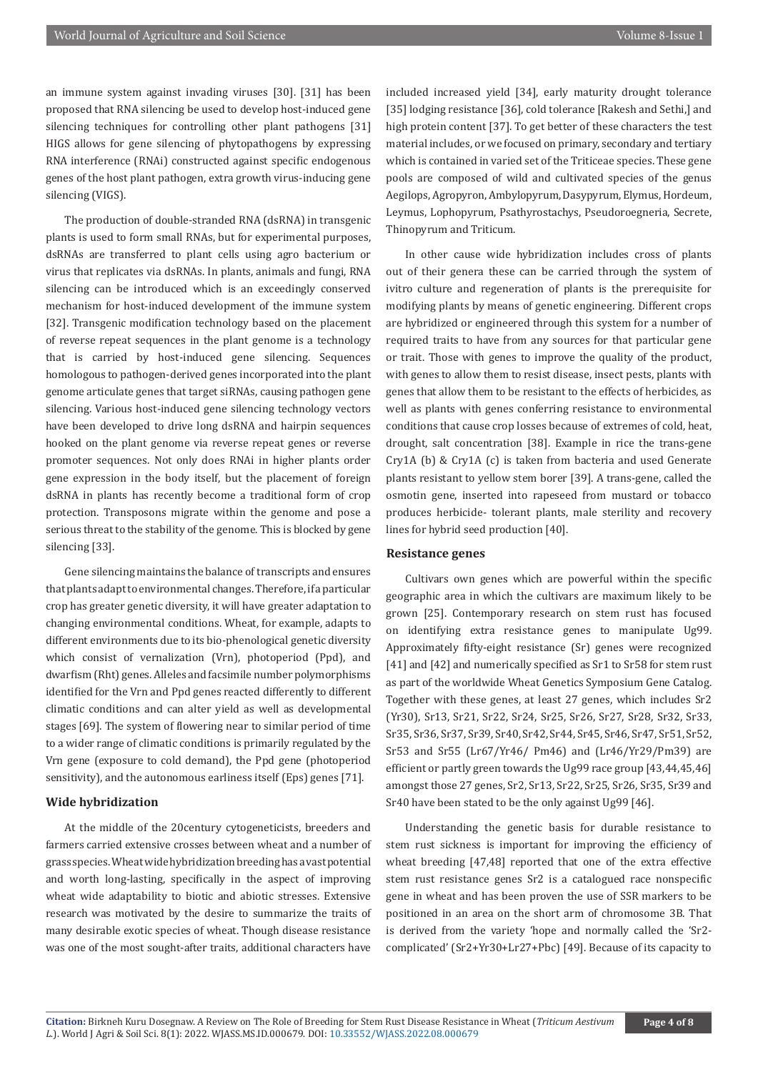an immune system against invading viruses [30]. [31] has been proposed that RNA silencing be used to develop host-induced gene silencing techniques for controlling other plant pathogens [31] HIGS allows for gene silencing of phytopathogens by expressing RNA interference (RNAi) constructed against specific endogenous genes of the host plant pathogen, extra growth virus-inducing gene silencing (VIGS).

The production of double-stranded RNA (dsRNA) in transgenic plants is used to form small RNAs, but for experimental purposes, dsRNAs are transferred to plant cells using agro bacterium or virus that replicates via dsRNAs. In plants, animals and fungi, RNA silencing can be introduced which is an exceedingly conserved mechanism for host-induced development of the immune system [32]. Transgenic modification technology based on the placement of reverse repeat sequences in the plant genome is a technology that is carried by host-induced gene silencing. Sequences homologous to pathogen-derived genes incorporated into the plant genome articulate genes that target siRNAs, causing pathogen gene silencing. Various host-induced gene silencing technology vectors have been developed to drive long dsRNA and hairpin sequences hooked on the plant genome via reverse repeat genes or reverse promoter sequences. Not only does RNAi in higher plants order gene expression in the body itself, but the placement of foreign dsRNA in plants has recently become a traditional form of crop protection. Transposons migrate within the genome and pose a serious threat to the stability of the genome. This is blocked by gene silencing [33].

Gene silencing maintains the balance of transcripts and ensures that plants adapt to environmental changes. Therefore, if a particular crop has greater genetic diversity, it will have greater adaptation to changing environmental conditions. Wheat, for example, adapts to different environments due to its bio-phenological genetic diversity which consist of vernalization (Vrn), photoperiod (Ppd), and dwarfism (Rht) genes. Alleles and facsimile number polymorphisms identified for the Vrn and Ppd genes reacted differently to different climatic conditions and can alter yield as well as developmental stages [69]. The system of flowering near to similar period of time to a wider range of climatic conditions is primarily regulated by the Vrn gene (exposure to cold demand), the Ppd gene (photoperiod sensitivity), and the autonomous earliness itself (Eps) genes [71].

# **Wide hybridization**

At the middle of the 20century cytogeneticists, breeders and farmers carried extensive crosses between wheat and a number of grass species. Wheat wide hybridization breeding has a vast potential and worth long-lasting, specifically in the aspect of improving wheat wide adaptability to biotic and abiotic stresses. Extensive research was motivated by the desire to summarize the traits of many desirable exotic species of wheat. Though disease resistance was one of the most sought-after traits, additional characters have

included increased yield [34], early maturity drought tolerance [35] lodging resistance [36], cold tolerance [Rakesh and Sethi,] and high protein content [37]. To get better of these characters the test material includes, or we focused on primary, secondary and tertiary which is contained in varied set of the Triticeae species. These gene pools are composed of wild and cultivated species of the genus Aegilops, Agropyron, Ambylopyrum, Dasypyrum, Elymus, Hordeum, Leymus, Lophopyrum, Psathyrostachys, Pseudoroegneria, Secrete, Thinopyrum and Triticum.

In other cause wide hybridization includes cross of plants out of their genera these can be carried through the system of ivitro culture and regeneration of plants is the prerequisite for modifying plants by means of genetic engineering. Different crops are hybridized or engineered through this system for a number of required traits to have from any sources for that particular gene or trait. Those with genes to improve the quality of the product, with genes to allow them to resist disease, insect pests, plants with genes that allow them to be resistant to the effects of herbicides, as well as plants with genes conferring resistance to environmental conditions that cause crop losses because of extremes of cold, heat, drought, salt concentration [38]. Example in rice the trans-gene Cry1A (b) & Cry1A (c) is taken from bacteria and used Generate plants resistant to yellow stem borer [39]. A trans-gene, called the osmotin gene, inserted into rapeseed from mustard or tobacco produces herbicide- tolerant plants, male sterility and recovery lines for hybrid seed production [40].

#### **Resistance genes**

Cultivars own genes which are powerful within the specific geographic area in which the cultivars are maximum likely to be grown [25]. Contemporary research on stem rust has focused on identifying extra resistance genes to manipulate Ug99. Approximately fifty-eight resistance (Sr) genes were recognized [41] and [42] and numerically specified as Sr1 to Sr58 for stem rust as part of the worldwide Wheat Genetics Symposium Gene Catalog. Together with these genes, at least 27 genes, which includes Sr2 (Yr30), Sr13, Sr21, Sr22, Sr24, Sr25, Sr26, Sr27, Sr28, Sr32, Sr33, Sr35, Sr36, Sr37, Sr39, Sr40, Sr42, Sr44, Sr45, Sr46, Sr47, Sr51, Sr52, Sr53 and Sr55 (Lr67/Yr46/ Pm46) and (Lr46/Yr29/Pm39) are efficient or partly green towards the Ug99 race group [43,44,45,46] amongst those 27 genes, Sr2, Sr13, Sr22, Sr25, Sr26, Sr35, Sr39 and Sr40 have been stated to be the only against Ug99 [46].

Understanding the genetic basis for durable resistance to stem rust sickness is important for improving the efficiency of wheat breeding [47,48] reported that one of the extra effective stem rust resistance genes Sr2 is a catalogued race nonspecific gene in wheat and has been proven the use of SSR markers to be positioned in an area on the short arm of chromosome 3B. That is derived from the variety 'hope and normally called the 'Sr2 complicated' (Sr2+Yr30+Lr27+Pbc) [49]. Because of its capacity to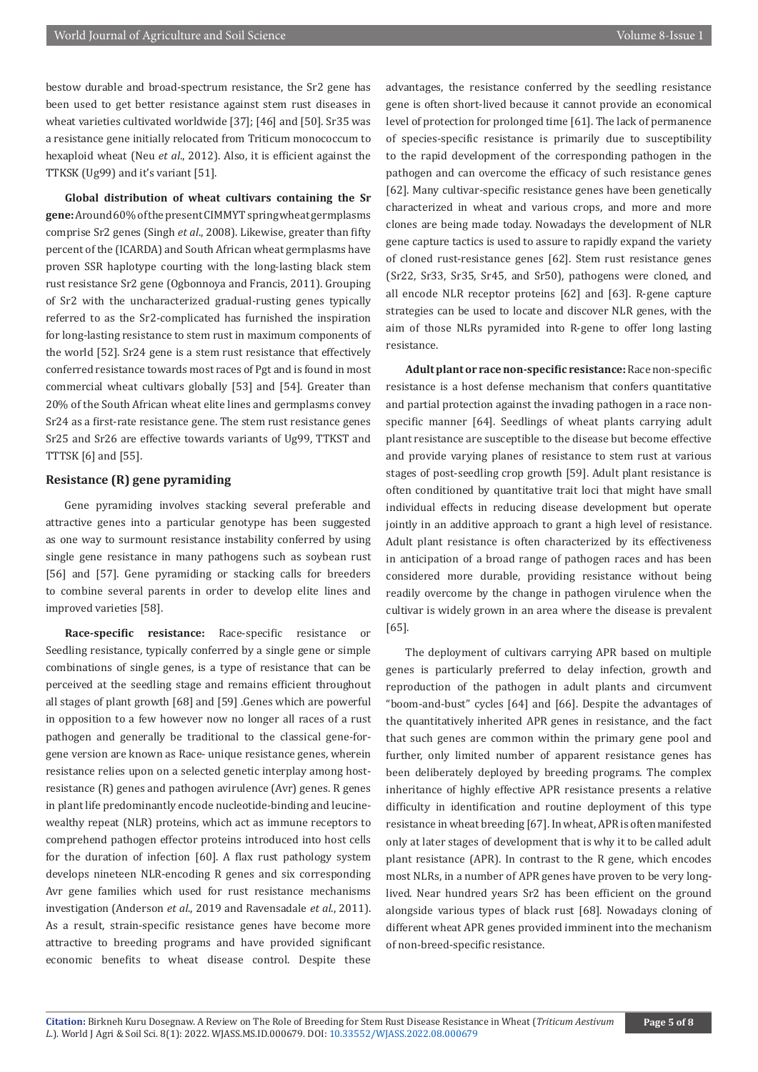bestow durable and broad-spectrum resistance, the Sr2 gene has been used to get better resistance against stem rust diseases in wheat varieties cultivated worldwide [37]; [46] and [50]. Sr35 was a resistance gene initially relocated from Triticum monococcum to hexaploid wheat (Neu *et al*., 2012). Also, it is efficient against the TTKSK (Ug99) and it's variant [51].

**Global distribution of wheat cultivars containing the Sr gene:** Around 60% of the present CIMMYT spring wheat germplasms comprise Sr2 genes (Singh *et al*., 2008). Likewise, greater than fifty percent of the (ICARDA) and South African wheat germplasms have proven SSR haplotype courting with the long-lasting black stem rust resistance Sr2 gene (Ogbonnoya and Francis, 2011). Grouping of Sr2 with the uncharacterized gradual-rusting genes typically referred to as the Sr2-complicated has furnished the inspiration for long-lasting resistance to stem rust in maximum components of the world [52]. Sr24 gene is a stem rust resistance that effectively conferred resistance towards most races of Pgt and is found in most commercial wheat cultivars globally [53] and [54]. Greater than 20% of the South African wheat elite lines and germplasms convey Sr24 as a first-rate resistance gene. The stem rust resistance genes Sr25 and Sr26 are effective towards variants of Ug99, TTKST and TTTSK [6] and [55].

# **Resistance (R) gene pyramiding**

Gene pyramiding involves stacking several preferable and attractive genes into a particular genotype has been suggested as one way to surmount resistance instability conferred by using single gene resistance in many pathogens such as soybean rust [56] and [57]. Gene pyramiding or stacking calls for breeders to combine several parents in order to develop elite lines and improved varieties [58].

**Race-specific resistance:** Race-specific resistance or Seedling resistance, typically conferred by a single gene or simple combinations of single genes, is a type of resistance that can be perceived at the seedling stage and remains efficient throughout all stages of plant growth [68] and [59] .Genes which are powerful in opposition to a few however now no longer all races of a rust pathogen and generally be traditional to the classical gene-forgene version are known as Race- unique resistance genes, wherein resistance relies upon on a selected genetic interplay among hostresistance (R) genes and pathogen avirulence (Avr) genes. R genes in plant life predominantly encode nucleotide-binding and leucinewealthy repeat (NLR) proteins, which act as immune receptors to comprehend pathogen effector proteins introduced into host cells for the duration of infection [60]. A flax rust pathology system develops nineteen NLR-encoding R genes and six corresponding Avr gene families which used for rust resistance mechanisms investigation (Anderson *et al*., 2019 and Ravensadale *et al*., 2011). As a result, strain-specific resistance genes have become more attractive to breeding programs and have provided significant economic benefits to wheat disease control. Despite these

advantages, the resistance conferred by the seedling resistance gene is often short-lived because it cannot provide an economical level of protection for prolonged time [61]. The lack of permanence of species-specific resistance is primarily due to susceptibility to the rapid development of the corresponding pathogen in the pathogen and can overcome the efficacy of such resistance genes [62]. Many cultivar-specific resistance genes have been genetically characterized in wheat and various crops, and more and more clones are being made today. Nowadays the development of NLR gene capture tactics is used to assure to rapidly expand the variety of cloned rust-resistance genes [62]. Stem rust resistance genes (Sr22, Sr33, Sr35, Sr45, and Sr50), pathogens were cloned, and all encode NLR receptor proteins [62] and [63]. R-gene capture strategies can be used to locate and discover NLR genes, with the aim of those NLRs pyramided into R-gene to offer long lasting resistance.

**Adult plant or race non-specific resistance:** Race non-specific resistance is a host defense mechanism that confers quantitative and partial protection against the invading pathogen in a race nonspecific manner [64]. Seedlings of wheat plants carrying adult plant resistance are susceptible to the disease but become effective and provide varying planes of resistance to stem rust at various stages of post-seedling crop growth [59]. Adult plant resistance is often conditioned by quantitative trait loci that might have small individual effects in reducing disease development but operate jointly in an additive approach to grant a high level of resistance. Adult plant resistance is often characterized by its effectiveness in anticipation of a broad range of pathogen races and has been considered more durable, providing resistance without being readily overcome by the change in pathogen virulence when the cultivar is widely grown in an area where the disease is prevalent [65].

The deployment of cultivars carrying APR based on multiple genes is particularly preferred to delay infection, growth and reproduction of the pathogen in adult plants and circumvent "boom-and-bust" cycles [64] and [66]. Despite the advantages of the quantitatively inherited APR genes in resistance, and the fact that such genes are common within the primary gene pool and further, only limited number of apparent resistance genes has been deliberately deployed by breeding programs. The complex inheritance of highly effective APR resistance presents a relative difficulty in identification and routine deployment of this type resistance in wheat breeding [67]. In wheat, APR is often manifested only at later stages of development that is why it to be called adult plant resistance (APR). In contrast to the R gene, which encodes most NLRs, in a number of APR genes have proven to be very longlived. Near hundred years Sr2 has been efficient on the ground alongside various types of black rust [68]. Nowadays cloning of different wheat APR genes provided imminent into the mechanism of non-breed-specific resistance.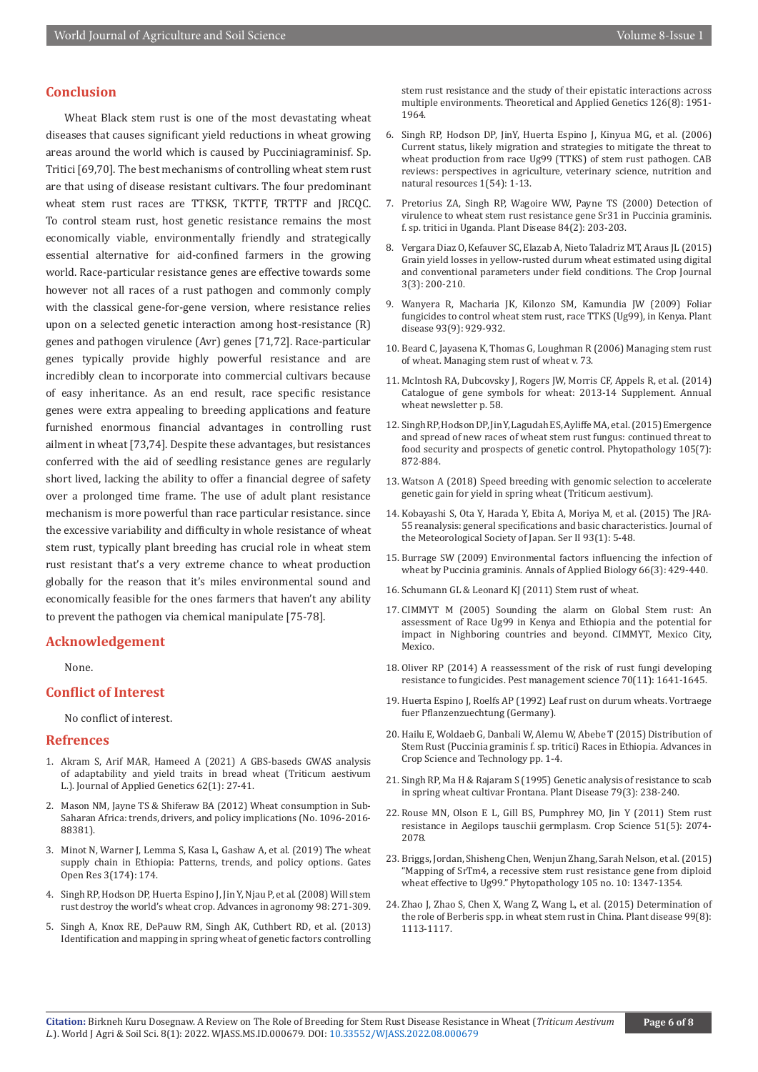# **Conclusion**

Wheat Black stem rust is one of the most devastating wheat diseases that causes significant yield reductions in wheat growing areas around the world which is caused by Pucciniagraminisf. Sp. Tritici [69,70]. The best mechanisms of controlling wheat stem rust are that using of disease resistant cultivars. The four predominant wheat stem rust races are TTKSK, TKTTF, TRTTF and JRCQC. To control steam rust, host genetic resistance remains the most economically viable, environmentally friendly and strategically essential alternative for aid-confined farmers in the growing world. Race-particular resistance genes are effective towards some however not all races of a rust pathogen and commonly comply with the classical gene-for-gene version, where resistance relies upon on a selected genetic interaction among host-resistance (R) genes and pathogen virulence (Avr) genes [71,72]. Race-particular genes typically provide highly powerful resistance and are incredibly clean to incorporate into commercial cultivars because of easy inheritance. As an end result, race specific resistance genes were extra appealing to breeding applications and feature furnished enormous financial advantages in controlling rust ailment in wheat [73,74]. Despite these advantages, but resistances conferred with the aid of seedling resistance genes are regularly short lived, lacking the ability to offer a financial degree of safety over a prolonged time frame. The use of adult plant resistance mechanism is more powerful than race particular resistance. since the excessive variability and difficulty in whole resistance of wheat stem rust, typically plant breeding has crucial role in wheat stem rust resistant that's a very extreme chance to wheat production globally for the reason that it's miles environmental sound and economically feasible for the ones farmers that haven't any ability to prevent the pathogen via chemical manipulate [75-78].

# **Acknowledgement**

None.

#### **Conflict of Interest**

No conflict of interest.

#### **Refrences**

- 1. [Akram S, Arif MAR, Hameed A \(2021\) A GBS-baseds GWAS analysis](https://pubmed.ncbi.nlm.nih.gov/33128382/)  [of adaptability and yield traits in bread wheat \(Triticum aestivum](https://pubmed.ncbi.nlm.nih.gov/33128382/)  L.). [Journal of Applied Genetics](https://pubmed.ncbi.nlm.nih.gov/33128382/) 62(1): 27-41.
- 2. Mason NM, Jayne TS & Shiferaw BA (2012) Wheat consumption in Sub-Saharan Africa: trends, drivers, and policy implications (No. 1096-2016- 88381).
- 3. Minot N, Warner J, Lemma S, Kasa L, Gashaw A, et al. (2019) The wheat supply chain in Ethiopia: Patterns, trends, and policy options. Gates Open Res 3(174): 174.
- 4. Singh RP, Hodson DP, Huerta Espino J, Jin Y, Njau P, et al. (2008) Will stem rust destroy the world's wheat crop. Advances in agronomy 98: 271-309.
- 5. [Singh A, Knox RE, DePauw RM, Singh AK, Cuthbert RD, et al. \(2013\)](https://pubmed.ncbi.nlm.nih.gov/23649649/)  [Identification and mapping in spring wheat of genetic factors controlling](https://pubmed.ncbi.nlm.nih.gov/23649649/)

[stem rust resistance and the study of their epistatic interactions across](https://pubmed.ncbi.nlm.nih.gov/23649649/) multiple environments. [Theoretical and Applied Genetics](https://pubmed.ncbi.nlm.nih.gov/23649649/) 126(8): 1951- [1964.](https://pubmed.ncbi.nlm.nih.gov/23649649/)

- 6. Singh RP, Hodson DP, JinY, Huerta Espino J, Kinyua MG, et al. (2006) Current status, likely migration and strategies to mitigate the threat to wheat production from race Ug99 (TTKS) of stem rust pathogen. CAB reviews: perspectives in agriculture, veterinary science, nutrition and natural resources 1(54): 1-13.
- 7. Pretorius ZA, Singh RP, Wagoire WW, Payne TS (2000) Detection of virulence to wheat stem rust resistance gene Sr31 in Puccinia graminis. f. sp. tritici in Uganda. Plant Disease 84(2): 203-203.
- 8. Vergara Diaz O, Kefauver SC, Elazab A, Nieto Taladriz MT, Araus JL (2015) Grain yield losses in yellow-rusted durum wheat estimated using digital and conventional parameters under field conditions. The Crop Journal 3(3): 200-210.
- 9. [Wanyera R, Macharia JK, Kilonzo SM, Kamundia JW \(2009\) Foliar](https://pubmed.ncbi.nlm.nih.gov/30754537/) [fungicides to control wheat stem rust, race TTKS \(Ug99\), in Kenya.](https://pubmed.ncbi.nlm.nih.gov/30754537/) Plant disease [93\(9\): 929-932.](https://pubmed.ncbi.nlm.nih.gov/30754537/)
- 10. Beard C, Jayasena K, Thomas G, Loughman R (2006) Managing stem rust of wheat. Managing stem rust of wheat v. 73.
- 11. McIntosh RA, Dubcovsky J, Rogers JW, Morris CF, Appels R, et al. (2014) Catalogue of gene symbols for wheat: 2013-14 Supplement. Annual wheat newsletter p. 58.
- 12. [Singh RP, Hodson DP, Jin Y, Lagudah ES, Ayliffe MA, et al. \(2015\) Emergence](https://pubmed.ncbi.nlm.nih.gov/26120730/) [and spread of new races of wheat stem rust fungus: continued threat to](https://pubmed.ncbi.nlm.nih.gov/26120730/) [food security and prospects of genetic control.](https://pubmed.ncbi.nlm.nih.gov/26120730/) Phytopathology 105(7): [872-884.](https://pubmed.ncbi.nlm.nih.gov/26120730/)
- 13. Watson A (2018) Speed breeding with genomic selection to accelerate genetic gain for yield in spring wheat (Triticum aestivum).
- 14. Kobayashi S, Ota Y, Harada Y, Ebita A, Moriya M, et al. (2015) The JRA-55 reanalysis: general specifications and basic characteristics. Journal of the Meteorological Society of Japan. Ser II 93(1): 5-48.
- 15. Burrage SW (2009) Environmental factors influencing the infection of wheat by Puccinia graminis. Annals of Applied Biology 66(3): 429-440.
- 16. Schumann GL & Leonard KJ (2011) Stem rust of wheat.
- 17. CIMMYT M (2005) Sounding the alarm on Global Stem rust: An assessment of Race Ug99 in Kenya and Ethiopia and the potential for impact in Nighboring countries and beyond. CIMMYT*,* Mexico City, Mexico.
- 18. [Oliver RP \(2014\) A reassessment of the risk of rust fungi developing](https://pubmed.ncbi.nlm.nih.gov/24616024/) resistance to fungicides. [Pest management science](https://pubmed.ncbi.nlm.nih.gov/24616024/) 70(11): 1641-1645.
- 19. Huerta Espino J, Roelfs AP (1992) Leaf rust on durum wheats. Vortraege fuer Pflanzenzuechtung (Germany).
- 20. Hailu E, Woldaeb G, Danbali W, Alemu W, Abebe T (2015) Distribution of Stem Rust (Puccinia graminis f. sp. tritici) Races in Ethiopia. Advances in Crop Science and Technology pp. 1-4.
- 21. Singh RP, Ma H & Rajaram S (1995) Genetic analysis of resistance to scab in spring wheat cultivar Frontana. Plant Disease 79(3): 238-240.
- 22. Rouse MN, Olson E L, Gill BS, Pumphrey MO, Jin Y (2011) Stem rust resistance in Aegilops tauschii germplasm. Crop Science 51(5): 2074- 2078.
- 23. [Briggs, Jordan, Shisheng Chen, Wenjun Zhang, Sarah Nelson, et al. \(2015\)](https://pubmed.ncbi.nlm.nih.gov/25844826/) ["Mapping of SrTm4, a recessive stem rust resistance gene from diploid](https://pubmed.ncbi.nlm.nih.gov/25844826/) [wheat effective to Ug99."](https://pubmed.ncbi.nlm.nih.gov/25844826/) Phytopathology 105 no. 10: 1347-1354.
- 24. [Zhao J, Zhao S, Chen X, Wang Z, Wang L, et al. \(2015\) Determination of](https://pubmed.ncbi.nlm.nih.gov/30695931/) [the role of Berberis spp. in wheat stem rust in China.](https://pubmed.ncbi.nlm.nih.gov/30695931/) Plant disease 99(8): [1113-1117.](https://pubmed.ncbi.nlm.nih.gov/30695931/)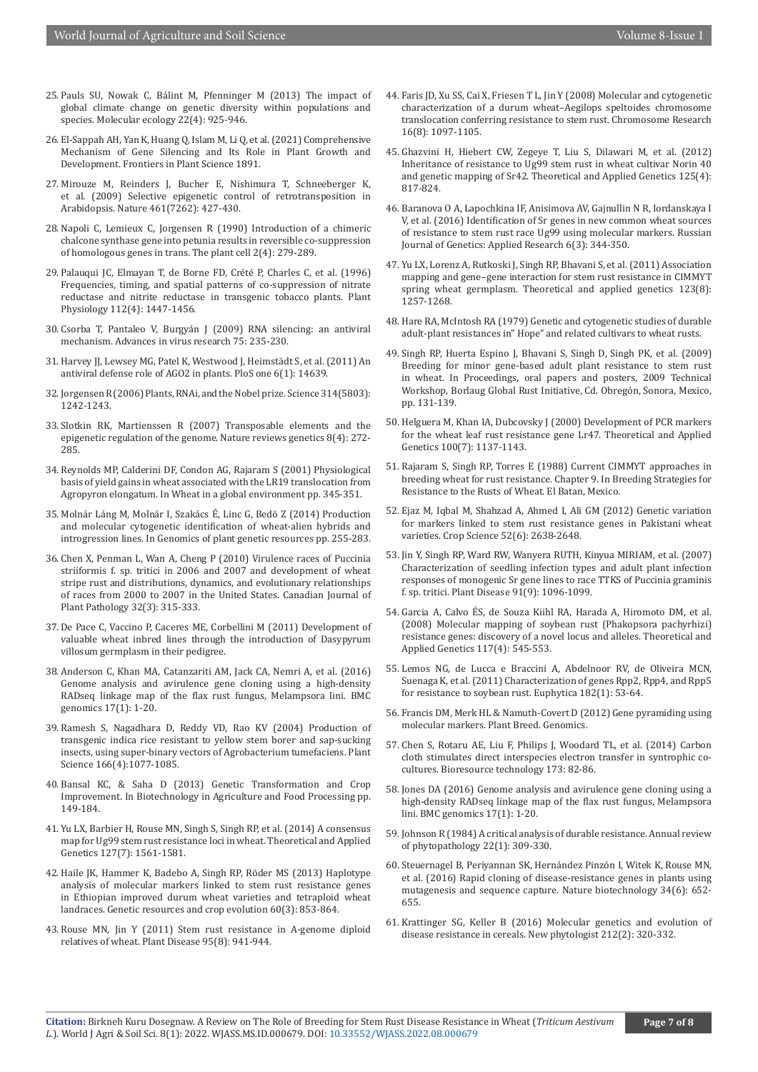- 25. [Pauls SU, Nowak C, Bálint M, Pfenninger M \(2013\) The impact of](https://pubmed.ncbi.nlm.nih.gov/23279006/)  [global climate change on genetic diversity within populations and](https://pubmed.ncbi.nlm.nih.gov/23279006/)  species. [Molecular ecology](https://pubmed.ncbi.nlm.nih.gov/23279006/) 22(4): 925-946.
- 26. [El-Sappah AH, Yan K, Huang Q, Islam M, Li Q, et al. \(2021\) Comprehensive](https://pubmed.ncbi.nlm.nih.gov/34589097/)  [Mechanism of Gene Silencing and Its Role in Plant Growth and](https://pubmed.ncbi.nlm.nih.gov/34589097/)  Development. [Frontiers in Plant Science 1891.](https://pubmed.ncbi.nlm.nih.gov/34589097/)
- 27. [Mirouze M, Reinders J, Bucher E, Nishimura T, Schneeberger K,](https://pubmed.ncbi.nlm.nih.gov/19734882/)  [et al. \(2009\) Selective epigenetic control of retrotransposition in](https://pubmed.ncbi.nlm.nih.gov/19734882/)  Arabidopsis. Nature [461\(7262\): 427-430.](https://pubmed.ncbi.nlm.nih.gov/19734882/)
- 28. [Napoli C, Lemieux C, Jorgensen R \(1990\) Introduction of a chimeric](https://pubmed.ncbi.nlm.nih.gov/12354959/)  [chalcone synthase gene into petunia results in reversible co-suppression](https://pubmed.ncbi.nlm.nih.gov/12354959/)  [of homologous genes in trans.](https://pubmed.ncbi.nlm.nih.gov/12354959/) The plant cell 2(4): 279-289.
- 29. [Palauqui JC, Elmayan T, de Borne FD, Crété P, Charles C, et al. \(1996\)](https://pubmed.ncbi.nlm.nih.gov/12226457/)  [Frequencies, timing, and spatial patterns of co-suppression of nitrate](https://pubmed.ncbi.nlm.nih.gov/12226457/)  [reductase and nitrite reductase in transgenic tobacco plants.](https://pubmed.ncbi.nlm.nih.gov/12226457/) Plant Physiology [112\(4\): 1447-1456.](https://pubmed.ncbi.nlm.nih.gov/12226457/)
- 30. Csorba T, Pantaleo V, Burgyán J (2009) RNA silencing: an antiviral mechanism. Advances in virus research 75: 235-230.
- 31. Harvey JJ, Lewsey MG, Patel K, Westwood J, Heimstädt S, et al. (2011) An antiviral defense role of AGO2 in plants. PloS one 6(1): 14639.
- 32. [Jorgensen R \(2006\) Plants, RNAi, and the Nobel prize.](https://pubmed.ncbi.nlm.nih.gov/17128501/) Science314(5803): [1242-1243.](https://pubmed.ncbi.nlm.nih.gov/17128501/)
- 33. [Slotkin RK, Martienssen R \(2007\) Transposable elements and the](https://pubmed.ncbi.nlm.nih.gov/17363976/)  [epigenetic regulation of the genome.](https://pubmed.ncbi.nlm.nih.gov/17363976/) Nature reviews genetics 8(4): 272- [285.](https://pubmed.ncbi.nlm.nih.gov/17363976/)
- 34. Reynolds MP, Calderini DF, Condon AG, Rajaram S (2001) Physiological basis of yield gains in wheat associated with the LR19 translocation from Agropyron elongatum. In Wheat in a global environment pp. 345-351.
- 35. Molnár Láng M, Molnár I, Szakács É, Linc G, Bedö Z (2014) Production and molecular cytogenetic identification of wheat-alien hybrids and introgression lines. In Genomics of plant genetic resources pp. 255-283.
- 36. Chen X, Penman L, Wan A, Cheng P (2010) Virulence races of Puccinia striiformis f. sp. tritici in 2006 and 2007 and development of wheat stripe rust and distributions, dynamics, and evolutionary relationships of races from 2000 to 2007 in the United States. Canadian Journal of Plant Pathology 32(3): 315-333.
- 37. De Pace C, Vaccino P, Caceres ME, Corbellini M (2011) Development of valuable wheat inbred lines through the introduction of Dasypyrum villosum germplasm in their pedigree.
- 38. Anderson C, Khan MA, Catanzariti AM, Jack CA, Nemri A, et al. (2016) Genome analysis and avirulence gene cloning using a high-density RADseq linkage map of the flax rust fungus, Melampsora lini. BMC genomics 17(1): 1-20.
- 39. Ramesh S, Nagadhara D, Reddy VD, Rao KV (2004) Production of transgenic indica rice resistant to yellow stem borer and sap-sucking insects, using super-binary vectors of Agrobacterium tumefaciens. Plant Science 166(4):1077-1085.
- 40. Bansal KC, & Saha D (2013) Genetic Transformation and Crop Improvement. In Biotechnology in Agriculture and Food Processing pp. 149-184.
- 41. Yu LX, Barbier H, Rouse MN, Singh S, Singh RP, et al. (2014) A consensus map for Ug99 stem rust resistance loci in wheat. Theoretical and Applied Genetics 127(7): 1561-1581.
- 42. Haile JK, Hammer K, Badebo A, Singh RP, Röder MS (2013) Haplotype analysis of molecular markers linked to stem rust resistance genes in Ethiopian improved durum wheat varieties and tetraploid wheat landraces. Genetic resources and crop evolution 60(3): 853-864.
- 43. [Rouse MN, Jin Y \(2011\) Stem rust resistance in A-genome diploid](https://pubmed.ncbi.nlm.nih.gov/30732109/)  [relatives of wheat.](https://pubmed.ncbi.nlm.nih.gov/30732109/) Plant Disease 95(8): 941-944.
- 44. [Faris JD, Xu SS, Cai X, Friesen T L, Jin Y \(2008\) Molecular and cytogenetic](https://pubmed.ncbi.nlm.nih.gov/18855109/) [characterization of a durum wheat–Aegilops speltoides chromosome](https://pubmed.ncbi.nlm.nih.gov/18855109/) [translocation conferring resistance to stem rust.](https://pubmed.ncbi.nlm.nih.gov/18855109/) Chromosome Research [16\(8\): 1097-1105.](https://pubmed.ncbi.nlm.nih.gov/18855109/)
- 45. Ghazvini H, Hiebert CW, Zegeye T, Liu S, Dilawari M, et al. (2012) Inheritance of resistance to Ug99 stem rust in wheat cultivar Norin 40 and genetic mapping of Sr42. Theoretical and Applied Genetics 125(4): 817-824.
- 46. Baranova O A, Lapochkina IF, Anisimova AV, Gajnullin N R, Iordanskaya I V, et al. (2016) Identification of Sr genes in new common wheat sources of resistance to stem rust race Ug99 using molecular markers. Russian Journal of Genetics: Applied Research 6(3): 344-350.
- 47. [Yu LX, Lorenz A, Rutkoski J, Singh RP, Bhavani S, et al. \(2011\) Association](https://pubmed.ncbi.nlm.nih.gov/21811818/) [mapping and gene–gene interaction for stem rust resistance in CIMMYT](https://pubmed.ncbi.nlm.nih.gov/21811818/) spring wheat germplasm. [Theoretical and applied genetics 123\(8\):](https://pubmed.ncbi.nlm.nih.gov/21811818/) [1257-1268.](https://pubmed.ncbi.nlm.nih.gov/21811818/)
- 48. Hare RA, McIntosh RA (1979) Genetic and cytogenetic studies of durable adult-plant resistances in" Hope" and related cultivars to wheat rusts.
- 49. Singh RP, Huerta Espino J, Bhavani S, Singh D, Singh PK, et al. (2009) Breeding for minor gene-based adult plant resistance to stem rust in wheat. In Proceedings, oral papers and posters, 2009 Technical Workshop, Borlaug Global Rust Initiative, Cd. Obregón, Sonora, Mexico, pp. 131-139.
- 50. Helguera M, Khan IA, Dubcovsky J (2000) Development of PCR markers for the wheat leaf rust resistance gene Lr47. Theoretical and Applied Genetics 100(7): 1137-1143.
- 51. Rajaram S, Singh RP, Torres E (1988) Current CIMMYT approaches in breeding wheat for rust resistance. Chapter 9. In Breeding Strategies for Resistance to the Rusts of Wheat*.* El Batan, Mexico.
- 52. Ejaz M, Iqbal M, Shahzad A, Ahmed I, Ali GM (2012) Genetic variation for markers linked to stem rust resistance genes in Pakistani wheat varieties. Crop Science 52(6): 2638-2648.
- 53. [Jin Y, Singh RP, Ward RW, Wanyera RUTH, Kinyua MIRIAM, et al. \(2007\)](https://pubmed.ncbi.nlm.nih.gov/30780647/) [Characterization of seedling infection types and adult plant infection](https://pubmed.ncbi.nlm.nih.gov/30780647/) [responses of monogenic Sr gene lines to race TTKS of Puccinia graminis](https://pubmed.ncbi.nlm.nih.gov/30780647/) f. sp. tritici. [Plant Disease 91\(9\): 1096-1099.](https://pubmed.ncbi.nlm.nih.gov/30780647/)
- 54. [Garcia A, Calvo ÉS, de Souza Kiihl RA, Harada A, Hiromoto DM, et al.](https://pubmed.ncbi.nlm.nih.gov/18506417/) [\(2008\) Molecular mapping of soybean rust \(Phakopsora pachyrhizi\)](https://pubmed.ncbi.nlm.nih.gov/18506417/) [resistance genes: discovery of a novel locus and alleles.](https://pubmed.ncbi.nlm.nih.gov/18506417/) Theoretical and [Applied Genetics 117\(4\): 545-553.](https://pubmed.ncbi.nlm.nih.gov/18506417/)
- 55. Lemos NG, de Lucca e Braccini A, Abdelnoor RV, de Oliveira MCN, Suenaga K, et al. (2011) Characterization of genes Rpp2, Rpp4, and Rpp5 for resistance to soybean rust. Euphytica 182(1): 53-64.
- 56. Francis DM, Merk HL & Namuth-Covert D (2012) Gene pyramiding using molecular markers. Plant Breed. Genomics.
- 57. Chen S, Rotaru AE, Liu F, Philips J, Woodard TL, et al. (2014) Carbon cloth stimulates direct interspecies electron transfer in syntrophic cocultures. Bioresource technology 173: 82-86.
- 58. [Jones DA \(2016\) Genome analysis and avirulence gene cloning using a](https://pubmed.ncbi.nlm.nih.gov/27550217/) [high-density RADseq linkage map of the flax rust fungus, Melampsora](https://pubmed.ncbi.nlm.nih.gov/27550217/) lini. [BMC genomics](https://pubmed.ncbi.nlm.nih.gov/27550217/) 17(1): 1-20.
- 59. Johnson R (1984) A critical analysis of durable resistance. Annual review of phytopathology 22(1): 309-330.
- 60. [Steuernagel B, Periyannan SK, Hernández Pinzón I, Witek K, Rouse MN,](https://pubmed.ncbi.nlm.nih.gov/27111722/) [et al. \(2016\) Rapid cloning of disease-resistance genes in plants using](https://pubmed.ncbi.nlm.nih.gov/27111722/) [mutagenesis and sequence capture.](https://pubmed.ncbi.nlm.nih.gov/27111722/) Nature biotechnology 34(6): 652- [655.](https://pubmed.ncbi.nlm.nih.gov/27111722/)
- 61. [Krattinger SG, Keller B \(2016\) Molecular genetics and evolution of](https://pubmed.ncbi.nlm.nih.gov/27427289/) disease resistance in cereals. [New phytologist 212\(2\): 320-332](https://pubmed.ncbi.nlm.nih.gov/27427289/).